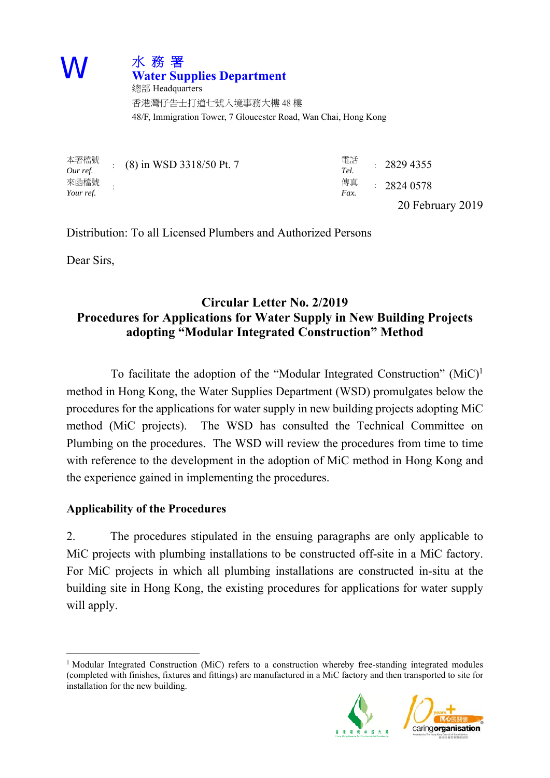

 48/F, Immigration Tower, 7 Gloucester Road, Wan Chai, Hong Kong 總部 Headquarters 香港灣仔告士打道七號入境事務大樓 48 樓

| 本署檔號<br>Our ref.  | $(8)$ in WSD 3318/50 Pt. 7 | 電話<br>Tel. | : 28294355       |
|-------------------|----------------------------|------------|------------------|
| 來函檔號<br>Your ref. |                            | 傳真<br>Fax. | : 28240578       |
|                   |                            |            | 20 February 2019 |

Distribution: To all Licensed Plumbers and Authorized Persons

Dear Sirs,

 $\overline{a}$ 

## **Circular Letter No. 2/2019 Procedures for Applications for Water Supply in New Building Projects adopting "Modular Integrated Construction" Method**

 method (MiC projects). The WSD has consulted the Technical Committee on To facilitate the adoption of the "Modular Integrated Construction"  $(MiC)^{1}$ method in Hong Kong, the Water Supplies Department (WSD) promulgates below the procedures for the applications for water supply in new building projects adopting MiC Plumbing on the procedures. The WSD will review the procedures from time to time with reference to the development in the adoption of MiC method in Hong Kong and the experience gained in implementing the procedures.

#### **Applicability of the Procedures**

2. The procedures stipulated in the ensuing paragraphs are only applicable to MiC projects with plumbing installations to be constructed off-site in a MiC factory. For MiC projects in which all plumbing installations are constructed in-situ at the building site in Hong Kong, the existing procedures for applications for water supply will apply.

 (completed with finishes, fixtures and fittings) are manufactured in a MiC factory and then transported to site for <sup>1</sup> Modular Integrated Construction (MiC) refers to a construction whereby free-standing integrated modules installation for the new building.



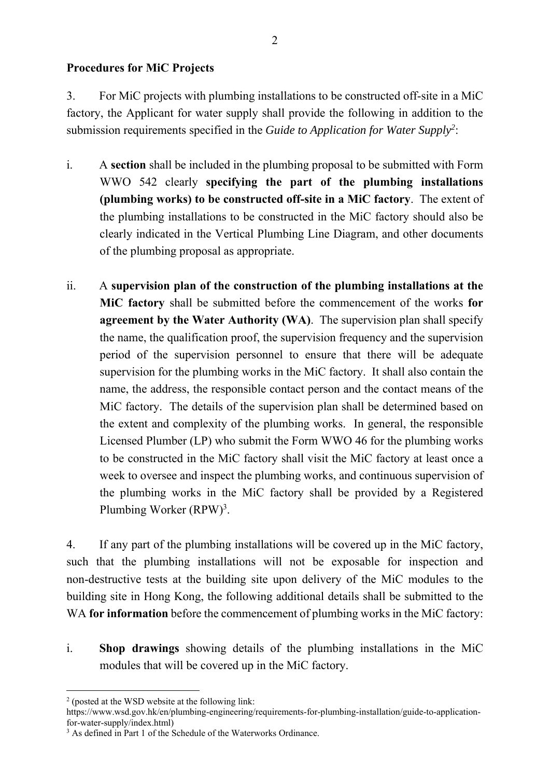#### **Procedures for MiC Projects**

3. For MiC projects with plumbing installations to be constructed off-site in a MiC factory, the Applicant for water supply shall provide the following in addition to the submission requirements specified in the *Guide to Application for Water Supply2* :

- i. A **section** shall be included in the plumbing proposal to be submitted with Form WWO 542 clearly **specifying the part of the plumbing installations (plumbing works) to be constructed off-site in a MiC factory**. The extent of the plumbing installations to be constructed in the MiC factory should also be clearly indicated in the Vertical Plumbing Line Diagram, and other documents of the plumbing proposal as appropriate.
- name, the address, the responsible contact person and the contact means of the ii. A **supervision plan of the construction of the plumbing installations at the MiC factory** shall be submitted before the commencement of the works **for agreement by the Water Authority (WA)**. The supervision plan shall specify the name, the qualification proof, the supervision frequency and the supervision period of the supervision personnel to ensure that there will be adequate supervision for the plumbing works in the MiC factory. It shall also contain the MiC factory. The details of the supervision plan shall be determined based on the extent and complexity of the plumbing works. In general, the responsible Licensed Plumber (LP) who submit the Form WWO 46 for the plumbing works to be constructed in the MiC factory shall visit the MiC factory at least once a week to oversee and inspect the plumbing works, and continuous supervision of the plumbing works in the MiC factory shall be provided by a Registered Plumbing Worker (RPW)<sup>3</sup>.

 such that the plumbing installations will not be exposable for inspection and 4. If any part of the plumbing installations will be covered up in the MiC factory, non-destructive tests at the building site upon delivery of the MiC modules to the building site in Hong Kong, the following additional details shall be submitted to the WA **for information** before the commencement of plumbing works in the MiC factory:

 i. **Shop drawings** showing details of the plumbing installations in the MiC modules that will be covered up in the MiC factory.

 $\overline{a}$ 2 (posted at the WSD website at the following link:

https://www.wsd.gov.hk/en/plumbing-engineering/requirements-for-plumbing-installation/guide-to-applicationfor-water-supply/index.html)

<sup>&</sup>lt;sup>3</sup> As defined in Part 1 of the Schedule of the Waterworks Ordinance.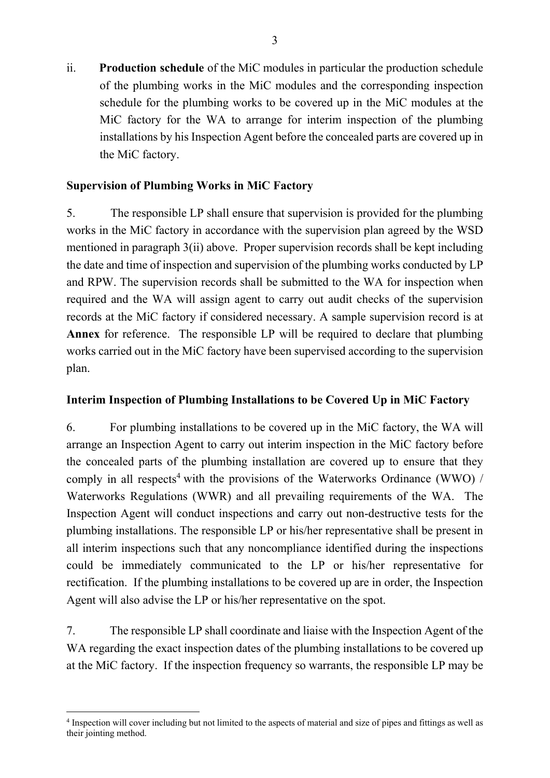MiC factory for the WA to arrange for interim inspection of the plumbing ii. **Production schedule** of the MiC modules in particular the production schedule of the plumbing works in the MiC modules and the corresponding inspection schedule for the plumbing works to be covered up in the MiC modules at the installations by his Inspection Agent before the concealed parts are covered up in the MiC factory.

## **Supervision of Plumbing Works in MiC Factory**

5. The responsible LP shall ensure that supervision is provided for the plumbing works in the MiC factory in accordance with the supervision plan agreed by the WSD mentioned in paragraph 3(ii) above. Proper supervision records shall be kept including the date and time of inspection and supervision of the plumbing works conducted by LP and RPW. The supervision records shall be submitted to the WA for inspection when required and the WA will assign agent to carry out audit checks of the supervision records at the MiC factory if considered necessary. A sample supervision record is at **Annex** for reference. The responsible LP will be required to declare that plumbing works carried out in the MiC factory have been supervised according to the supervision plan.

#### **Interim Inspection of Plumbing Installations to be Covered Up in MiC Factory**

 the concealed parts of the plumbing installation are covered up to ensure that they 6. For plumbing installations to be covered up in the MiC factory, the WA will arrange an Inspection Agent to carry out interim inspection in the MiC factory before comply in all respects<sup>4</sup> with the provisions of the Waterworks Ordinance (WWO) / Waterworks Regulations (WWR) and all prevailing requirements of the WA. The Inspection Agent will conduct inspections and carry out non-destructive tests for the plumbing installations. The responsible LP or his/her representative shall be present in all interim inspections such that any noncompliance identified during the inspections could be immediately communicated to the LP or his/her representative for rectification. If the plumbing installations to be covered up are in order, the Inspection Agent will also advise the LP or his/her representative on the spot.

7. The responsible LP shall coordinate and liaise with the Inspection Agent of the WA regarding the exact inspection dates of the plumbing installations to be covered up at the MiC factory. If the inspection frequency so warrants, the responsible LP may be

 $\overline{a}$ 

 their jointing method. <sup>4</sup> Inspection will cover including but not limited to the aspects of material and size of pipes and fittings as well as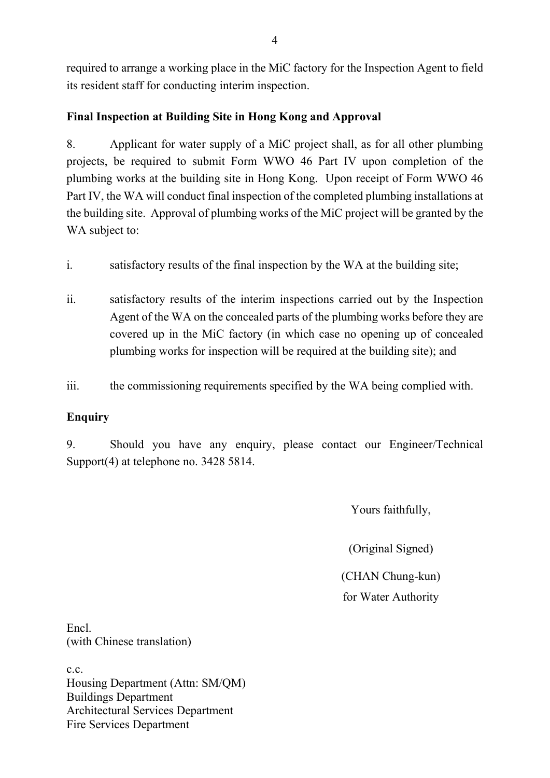required to arrange a working place in the MiC factory for the Inspection Agent to field its resident staff for conducting interim inspection.

## **Final Inspection at Building Site in Hong Kong and Approval**

8. Applicant for water supply of a MiC project shall, as for all other plumbing projects, be required to submit Form WWO 46 Part IV upon completion of the plumbing works at the building site in Hong Kong. Upon receipt of Form WWO 46 Part IV, the WA will conduct final inspection of the completed plumbing installations at the building site. Approval of plumbing works of the MiC project will be granted by the WA subject to:

- i. satisfactory results of the final inspection by the WA at the building site;
- ii. satisfactory results of the interim inspections carried out by the Inspection Agent of the WA on the concealed parts of the plumbing works before they are covered up in the MiC factory (in which case no opening up of concealed plumbing works for inspection will be required at the building site); and
- iii. the commissioning requirements specified by the WA being complied with.

## **Enquiry**

9. Should you have any enquiry, please contact our Engineer/Technical Support(4) at telephone no. 3428 5814.

Yours faithfully,

(Original Signed)

(CHAN Chung-kun) for Water Authority

Encl. (with Chinese translation)

c.c. Housing Department (Attn: SM/QM) Buildings Department Architectural Services Department Fire Services Department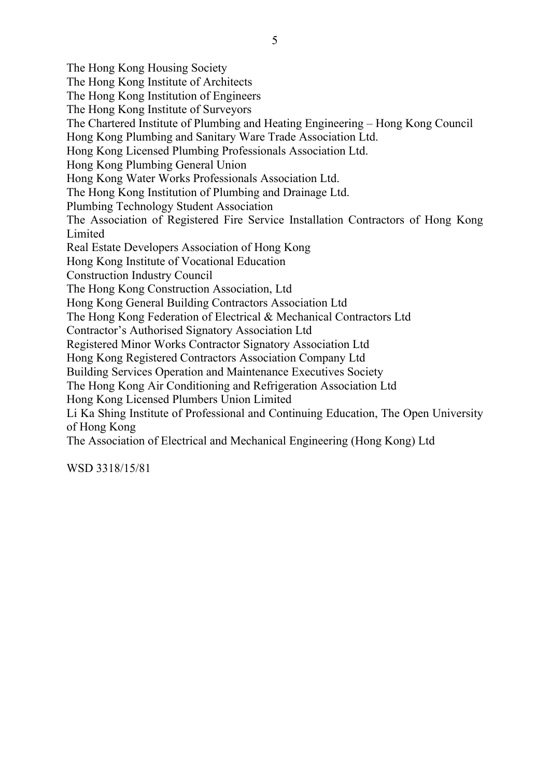The Hong Kong Housing Society The Hong Kong Institute of Architects The Hong Kong Institution of Engineers The Hong Kong Institute of Surveyors The Chartered Institute of Plumbing and Heating Engineering – Hong Kong Council Hong Kong Plumbing and Sanitary Ware Trade Association Ltd. Hong Kong Licensed Plumbing Professionals Association Ltd. Hong Kong Plumbing General Union Hong Kong Water Works Professionals Association Ltd. The Hong Kong Institution of Plumbing and Drainage Ltd. Plumbing Technology Student Association The Association of Registered Fire Service Installation Contractors of Hong Kong Limited Real Estate Developers Association of Hong Kong Hong Kong Institute of Vocational Education Construction Industry Council The Hong Kong Construction Association, Ltd Hong Kong General Building Contractors Association Ltd The Hong Kong Federation of Electrical & Mechanical Contractors Ltd Contractor's Authorised Signatory Association Ltd Registered Minor Works Contractor Signatory Association Ltd Hong Kong Registered Contractors Association Company Ltd Building Services Operation and Maintenance Executives Society The Hong Kong Air Conditioning and Refrigeration Association Ltd Hong Kong Licensed Plumbers Union Limited Li Ka Shing Institute of Professional and Continuing Education, The Open University of Hong Kong The Association of Electrical and Mechanical Engineering (Hong Kong) Ltd

WSD 3318/15/81